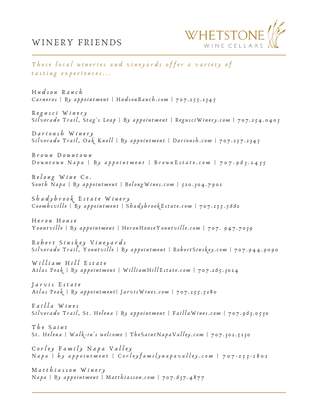# WINERY FRIENDS



These local wineries and vineyards offer a variety of tasting experiences...

 $H u d$  s on R anch Carneros | By appointment | Hudson Ranch.com |  $707.255.1345$  $707.255.1345$ 

Regusci Winery Silverado Trail, Stag's Leap | By appointment | RegusciWinery.com | 707.254.[040](tel:17072540403)3

Darioush Winery Silverado Trail, Oak Knoll | By appointment | Darioush.com | 707.257.2[345](tel:17072540403)

B r o w n D o w n t o w n Downtown Napa | By appointment | BrownEstate.com | 707.963.2[4](https://www.google.com/search?q=brown+downtown&oq=brown+downtown&aqs=chrome..69i57j0i512l2j0i22i30l7.1527j0j7&sourceid=chrome&ie=UTF-8#)35

 $Belong$  Wine Co. South Napa | By appointment | Belong Wines.com |  $510.304.7902$  $510.304.7902$  $510.304.7902$ 

S h a d y b r o o k E s t a t e W i n e r y Coombsville | By appointment | Shadybrook Esta[te.co](https://www.shadybrookestate.com/experiences/terrace-tasting)m | [7](https://www.google.com/search?q=shadybrooke&oq=shadybrooke&aqs=chrome..69i57j46i10i175i199i512j46i10i131i175i199i433j0i10l6.5055j0j9&sourceid=chrome&ie=UTF-8#)07.255.5661

Heron House Yountville | By appointment | Heron House Yountvil[le.co](http://www.heronhouseyountville.com/)m | 707. [947](https://www.google.com/search?q=heron+house&oq=heron+house&aqs=chrome..69i57j46i39i175i199j0i512j46i175i199i512j0i512l2j46i175i199i512j46i512j0i512.1841j0j9&sourceid=chrome&ie=UTF-8#).7039

Robert Sinskey Vineyards Silverado Trail, Yountville | By appointment | RobertSinsk[ey.co](https://www.robertsinskey.com/visit/)m | 707.[944.](tel:17072540403)9090

 $W$  illiam  $H$  ill Estate Atlas Peak | By appointment | William Hill Esta[te.co](https://www.williamhillestate.com/experiences/tours-and-tastings)m | 707.265.30[24](https://www.google.com/search?q=william+hill+winery&oq=william+hill&aqs=chrome.0.0i355i512j46i175i199i512j46i199i275i291i433i512j46i433i512j0i512l5.3352j0j9&sourceid=chrome&ie=UTF-8#)

Jarvis Estate Atlas Peak | By appointment | Jarvis Wines.com | [7](https://www.google.com/search?q=jarvis+winery&sxsrf=AOaemvLsQv-DWuKlikHFtsIWJoW_fyFPfg%3A1632949553497&ei=MdVUYbPWHaDQ1sQPofOG8Ak&oq=jarvis+winery&gs_lcp=Cgdnd3Mtd2l6EAMyEQguEIAEELEDEMcBEK8BEJMCMgUIABCABDIFCAAQgAQyBQgAEIAEMgUIABCABDIFCAAQgAQ6BwgAEEcQsAM6BwgAELADEEM6CgguEMgDELADEEM6FgguEIAEEIcCELEDEMcBEK8BEBQQkwI6BwgAELEDEEM6BAgAEEM6CwguEIAEELEDEIMBOggIABCABBCxAzoICC4QgAQQsQM6BQgAEJECOgUILhCABDoICAAQgAQQyQNKBQg4EgExSgQIQRgAUPsNWJcXYNUYaAJwAngAgAFmiAHDBZIBAzcuMZgBAKABAcgBD8ABAQ&sclient=gws-wiz&ved=0ahUKEwjzssmQi6XzAhUgqJUCHaG5AZ4Q4dUDCA4&uact=5#)07.255.5280

 $F \ddot{a}$  illa Wines Silverado Trail, St. Helena | By appointment | FaillaWines.com | 707.963.0530

The Saint St. Helena | Walk-in's welcome | The Saint Napa Valley.com | 707.302.5130

Corley Family Napa Valley Napa | by appointment | Corley familynapavalley.com |  $7$ 07-253-2802

Matthiasson Winery Napa | By appointment | Matthiasson.com | 707.637.4877